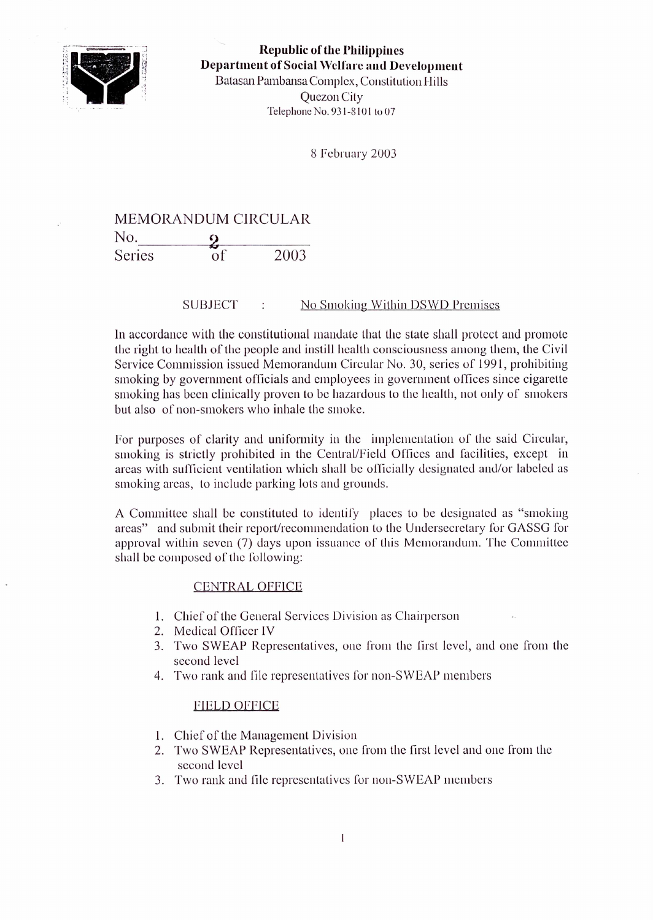

**Republic of the Philippines Department of Social Welfare and Development** Batasan Pambansa Complex, Constitution Hills Quezon City Telephone No. 931-8101 to 07

8 February 2003

## MEMORANDUM CIRCULAR No. 2<br>a 2<sup>2</sup>  $S$ eries  $\frac{2}{\text{of}}$  2003

## SUBJECT : No Smoking Within DSWD Premises

In accordance with the constitutional mandate that the state shall protect and promote the right to health of the people and instill health consciousness among them, the Civil Service Commission issued Memorandum Circular No. 30, series of 1991, prohibiting smoking by government officials and employees in government offices since cigarette smoking has been clinically proven to be hazardous to the health, not only of smokers but also of non-smokers who inhale the smoke.

For purposes of clarity and uniformity in the implementation of the said Circular, smoking is strictly prohibited in the Central/Field Offices and facilities, except in areas with sufficient ventilation which shall be officially designated and/or labeled as smoking areas, to include parking lots and grounds.

A Committee shall be constituted to identify places to be designated as "smoking areas" and submit their report/recommendation to the Undersecretary for GASSG for approval within seven (7) days upon issuance of this Memorandum. The Committee shall be composed of the following:

## CENTRAL OFFICE

- 1. Chief of the General Services Division as Chairperson
- 2. Medical Officcr IV
- 3. Two SWEAP Representatives, one from the first level, and one from the second level
- 4. Two rank and file representatives for non-SWEAP members

## FIELD OFFICE

- 1. Chief of the Management Division
- 2. Two SWEAP Representatives, one from the first level and one from the second level
- 3. Two rank and file representatives for non-SWEAP members